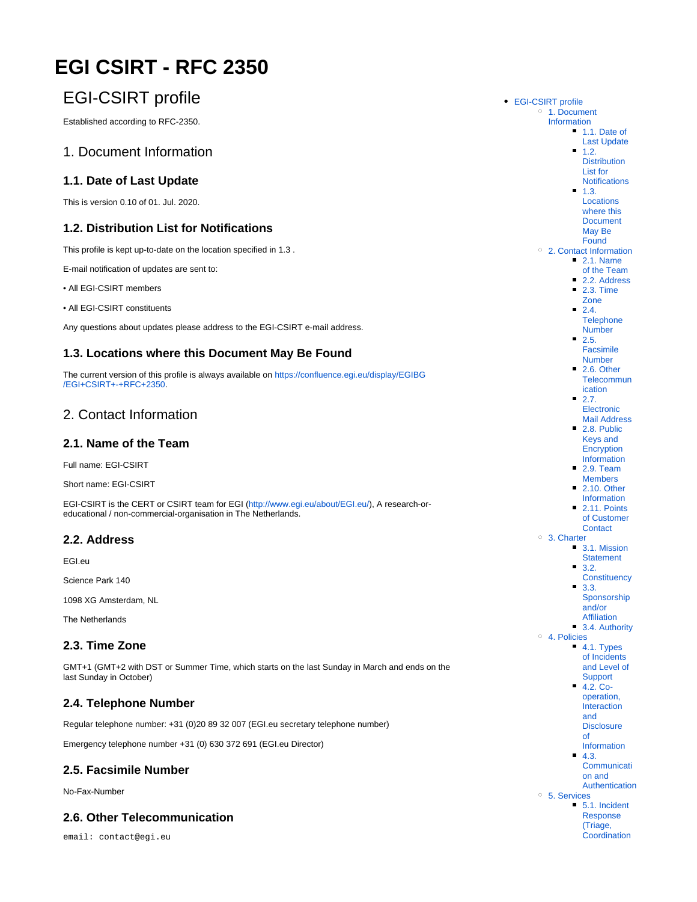# <span id="page-0-0"></span>**EGI CSIRT - RFC 2350**

# <span id="page-0-1"></span>EGI-CSIRT profile

Established according to RFC-2350.

## <span id="page-0-2"></span>1. Document Information

#### <span id="page-0-3"></span>**1.1. Date of Last Update**

This is version 0.10 of 01. Jul. 2020.

#### <span id="page-0-4"></span>**1.2. Distribution List for Notifications**

This profile is kept up-to-date on the location specified in 1.3 .

E-mail notification of updates are sent to:

• All EGI-CSIRT members

• All EGI-CSIRT constituents

Any questions about updates please address to the EGI-CSIRT e-mail address.

#### <span id="page-0-5"></span>**1.3. Locations where this Document May Be Found**

The current version of this profile is always available on [https://confluence.egi.eu/display/EGIBG](#page-0-0) [/EGI+CSIRT+-+RFC+2350](#page-0-0).

# <span id="page-0-6"></span>2. Contact Information

#### <span id="page-0-7"></span>**2.1. Name of the Team**

Full name: EGI-CSIRT

Short name: EGI-CSIRT

EGI-CSIRT is the CERT or CSIRT team for EGI [\(http://www.egi.eu/about/EGI.eu/](http://www.egi.eu/about/EGI.eu/)), A research-oreducational / non-commercial-organisation in The Netherlands.

#### <span id="page-0-8"></span>**2.2. Address**

EGI.eu

Science Park 140

1098 XG Amsterdam, NL

The Netherlands

#### <span id="page-0-9"></span>**2.3. Time Zone**

GMT+1 (GMT+2 with DST or Summer Time, which starts on the last Sunday in March and ends on the last Sunday in October)

#### <span id="page-0-10"></span>**2.4. Telephone Number**

Regular telephone number: +31 (0)20 89 32 007 (EGI.eu secretary telephone number)

Emergency telephone number +31 (0) 630 372 691 (EGI.eu Director)

#### <span id="page-0-11"></span>**2.5. Facsimile Number**

No-Fax-Number

# <span id="page-0-12"></span>**2.6. Other Telecommunication**

<span id="page-0-13"></span>email: contact@egi.eu

[EGI-CSIRT profile](#page-0-1) <sup>o</sup> 1. Document [Information](#page-0-2) <sup>1</sup>.1. Date of [Last Update](#page-0-3)  $1.2.$ **Distribution** [List for](#page-0-4)  **[Notifications](#page-0-4)**  $1.3.$ [Locations](#page-0-5)  [where this](#page-0-5)  [Document](#page-0-5)  [May Be](#page-0-5)  **[Found](#page-0-5)** [2. Contact Information](#page-0-6) [2.1. Name](#page-0-7)  [of the Team](#page-0-7) ■ [2.2. Address](#page-0-8) **2.3. Time** [Zone](#page-0-9)  $-2.4.$ **Telephone** [Number](#page-0-10) [2.5.](#page-0-11)  [Facsimile](#page-0-11)  [Number](#page-0-11) **2.6. Other [Telecommun](#page-0-12)** [ication](#page-0-12)  $-2.7.$ [Electronic](#page-0-13)  [Mail Address](#page-0-13) 2.8. Public [Keys and](#page-1-0)  **Encryption** [Information](#page-1-0) [2.9. Team](#page-1-1)  [Members](#page-1-1)  $2.10$  Other [Information](#page-1-2) **2.11. Points** [of Customer](#page-1-3)  **[Contact](#page-1-3)** [3. Charter](#page-1-4) ■ 3.1. Mission **[Statement](#page-1-5)**  $3.2$ **[Constituency](#page-1-6) 3.3.** [Sponsorship](#page-1-7)  [and/or](#page-1-7)  [Affiliation](#page-1-7) [3.4. Authority](#page-1-8) [4. Policies](#page-1-9) [4.1. Types](#page-1-10)  [of Incidents](#page-1-10)  [and Level of](#page-1-10)  **[Support](#page-1-10)** [4.2. Co](#page-2-0)[operation,](#page-2-0)  [Interaction](#page-2-0)  [and](#page-2-0)  **Disclosure** [of](#page-2-0)  [Information](#page-2-0) [4.3.](#page-2-1)  **[Communicati](#page-2-1)** [on and](#page-2-1)  [Authentication](#page-2-1) [5. Services](#page-2-2) [5.1. Incident](#page-2-3)  [Response](#page-2-3)  [\(Triage,](#page-2-3)  **Coordination**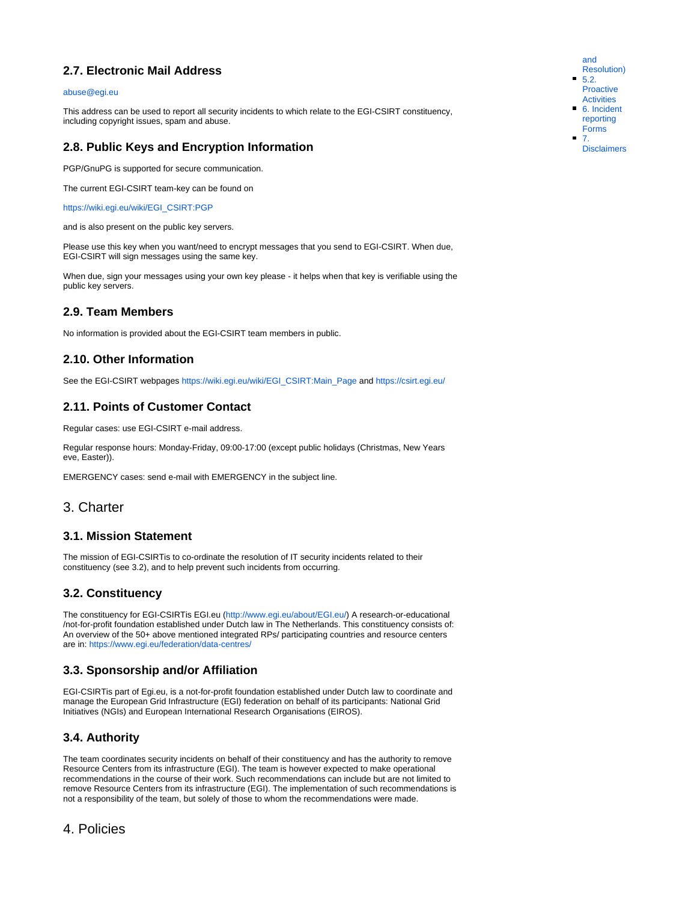#### **2.7. Electronic Mail Address**

#### [abuse@egi.eu](mailto:abuse@egi.eu)

This address can be used to report all security incidents to which relate to the EGI-CSIRT constituency, including copyright issues, spam and abuse.

#### <span id="page-1-0"></span>**2.8. Public Keys and Encryption Information**

PGP/GnuPG is supported for secure communication.

The current EGI-CSIRT team-key can be found on

[https://wiki.egi.eu/wiki/EGI\\_CSIRT:PGP](https://wiki.egi.eu/wiki/EGI_CSIRT:PGP)

and is also present on the public key servers.

Please use this key when you want/need to encrypt messages that you send to EGI-CSIRT. When due, EGI-CSIRT will sign messages using the same key.

When due, sign your messages using your own key please - it helps when that key is verifiable using the public key servers.

#### <span id="page-1-1"></span>**2.9. Team Members**

No information is provided about the EGI-CSIRT team members in public.

#### <span id="page-1-2"></span>**2.10. Other Information**

See the EGI-CSIRT webpages [https://wiki.egi.eu/wiki/EGI\\_CSIRT:Main\\_Page](https://wiki.egi.eu/wiki/EGI_CSIRT:Main_Page) and <https://csirt.egi.eu/>

#### <span id="page-1-3"></span>**2.11. Points of Customer Contact**

Regular cases: use EGI-CSIRT e-mail address.

Regular response hours: Monday-Friday, 09:00-17:00 (except public holidays (Christmas, New Years eve, Easter)).

EMERGENCY cases: send e-mail with EMERGENCY in the subject line.

#### <span id="page-1-4"></span>3. Charter

#### <span id="page-1-5"></span>**3.1. Mission Statement**

The mission of EGI-CSIRTis to co-ordinate the resolution of IT security incidents related to their constituency (see 3.2), and to help prevent such incidents from occurring.

#### <span id="page-1-6"></span>**3.2. Constituency**

The constituency for EGI-CSIRTis EGI.eu [\(http://www.egi.eu/about/EGI.eu/](http://www.egi.eu/about/EGI.eu/)) A research-or-educational /not-for-profit foundation established under Dutch law in The Netherlands. This constituency consists of: An overview of the 50+ above mentioned integrated RPs/ participating countries and resource centers are in: <https://www.egi.eu/federation/data-centres/>

#### <span id="page-1-7"></span>**3.3. Sponsorship and/or Affiliation**

EGI-CSIRTis part of Egi.eu, is a not-for-profit foundation established under Dutch law to coordinate and manage the European Grid Infrastructure (EGI) federation on behalf of its participants: National Grid Initiatives (NGIs) and European International Research Organisations (EIROS).

#### <span id="page-1-8"></span>**3.4. Authority**

The team coordinates security incidents on behalf of their constituency and has the authority to remove Resource Centers from its infrastructure (EGI). The team is however expected to make operational recommendations in the course of their work. Such recommendations can include but are not limited to remove Resource Centers from its infrastructure (EGI). The implementation of such recommendations is not a responsibility of the team, but solely of those to whom the recommendations were made.

[and](#page-2-3)  [Resolution\)](#page-2-3) [5.2.](#page-2-4)  **Proactive [Activities](#page-2-4)** [6. Incident](#page-2-5)  [reporting](#page-2-5)  [Forms](#page-2-5) [7.](#page-2-6) 

[Disclaimers](#page-2-6)

## <span id="page-1-10"></span><span id="page-1-9"></span>4. Policies